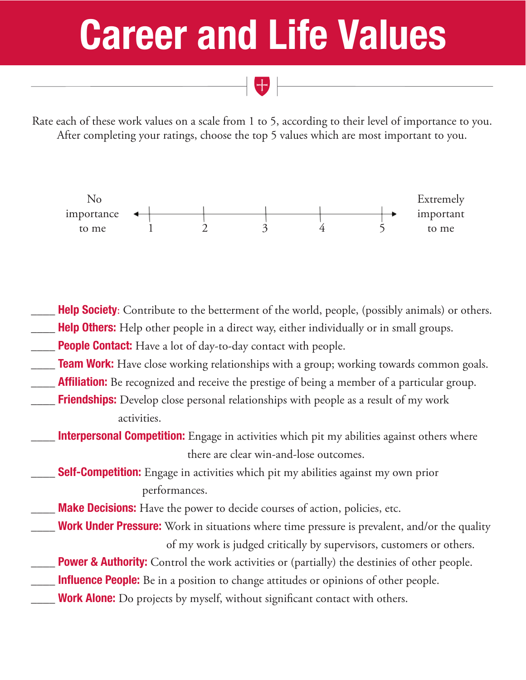## Career and Life Values

Rate each of these work values on a scale from 1 to 5, according to their level of importance to you. After completing your ratings, choose the top 5 values which are most important to you.



Help Society: Contribute to the betterment of the world, people, (possibly animals) or others.

- Help Others: Help other people in a direct way, either individually or in small groups.
- **People Contact:** Have a lot of day-to-day contact with people.
- **Team Work:** Have close working relationships with a group; working towards common goals.
- **Affiliation:** Be recognized and receive the prestige of being a member of a particular group.
- **Friendships:** Develop close personal relationships with people as a result of my work activities.
- Interpersonal Competition: Engage in activities which pit my abilities against others where there are clear win-and-lose outcomes.
- **Self-Competition:** Engage in activities which pit my abilities against my own prior performances.
- Make Decisions: Have the power to decide courses of action, policies, etc.
- Work Under Pressure: Work in situations where time pressure is prevalent, and/or the quality of my work is judged critically by supervisors, customers or others.
	- **Power & Authority:** Control the work activities or (partially) the destinies of other people.
- Influence People: Be in a position to change attitudes or opinions of other people.
- Work Alone: Do projects by myself, without significant contact with others.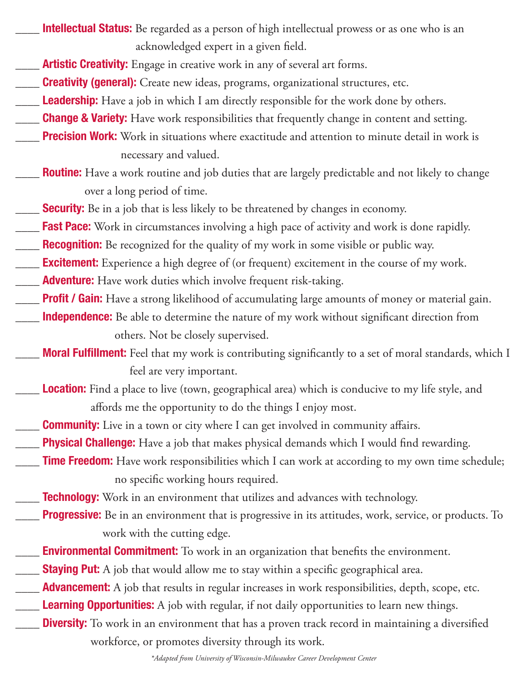Intellectual Status: Be regarded as a person of high intellectual prowess or as one who is an acknowledged expert in a given field.

- **EXECUTE:** Artistic Creativity: Engage in creative work in any of several art forms.
- **Creativity (general):** Create new ideas, programs, organizational structures, etc.
- **Leadership:** Have a job in which I am directly responsible for the work done by others.
- **Change & Variety:** Have work responsibilities that frequently change in content and setting.
- **Precision Work:** Work in situations where exactitude and attention to minute detail in work is necessary and valued.
- **Routine:** Have a work routine and job duties that are largely predictable and not likely to change over a long period of time.
- **Security:** Be in a job that is less likely to be threatened by changes in economy.
- **Fast Pace:** Work in circumstances involving a high pace of activity and work is done rapidly.
- **Recognition:** Be recognized for the quality of my work in some visible or public way.
- **Excitement:** Experience a high degree of (or frequent) excitement in the course of my work.
- **Adventure:** Have work duties which involve frequent risk-taking.
- **Profit / Gain:** Have a strong likelihood of accumulating large amounts of money or material gain.
- **Independence:** Be able to determine the nature of my work without significant direction from others. Not be closely supervised.
- **Moral Fulfillment:** Feel that my work is contributing significantly to a set of moral standards, which I feel are very important.
- **Location:** Find a place to live (town, geographical area) which is conducive to my life style, and affords me the opportunity to do the things I enjoy most.
- **Community:** Live in a town or city where I can get involved in community affairs.
- **Physical Challenge:** Have a job that makes physical demands which I would find rewarding.
- **Time Freedom:** Have work responsibilities which I can work at according to my own time schedule; no specific working hours required.
- **Technology:** Work in an environment that utilizes and advances with technology.
- **Progressive:** Be in an environment that is progressive in its attitudes, work, service, or products. To work with the cutting edge.
- **Environmental Commitment:** To work in an organization that benefits the environment.
- **EXALLE Staying Put:** A job that would allow me to stay within a specific geographical area.
- **Advancement:** A job that results in regular increases in work responsibilities, depth, scope, etc.
- **Learning Opportunities:** A job with regular, if not daily opportunities to learn new things.
- **Diversity:** To work in an environment that has a proven track record in maintaining a diversified workforce, or promotes diversity through its work.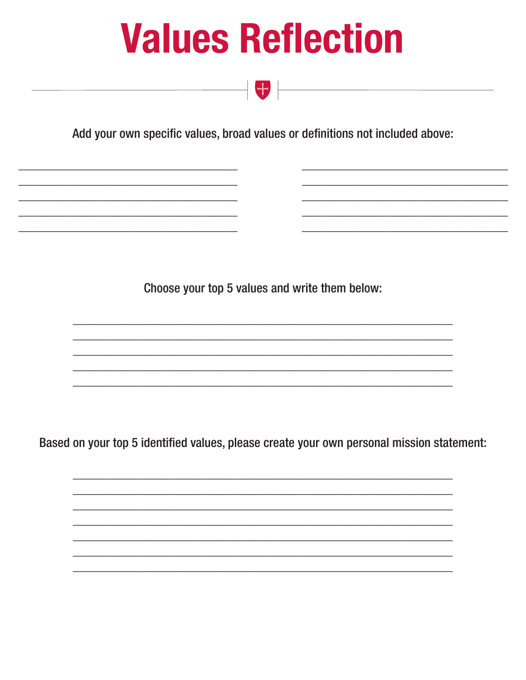## **Values Reflection**

Add your own specific values, broad values or definitions not included above:

 $\begin{array}{|c|c|c|c|c|}\hline \textbf{H} & \textbf{H} & \textbf{H} & \textbf{H} & \textbf{H} & \textbf{H} & \textbf{H} & \textbf{H} & \textbf{H} & \textbf{H} & \textbf{H} & \textbf{H} & \textbf{H} & \textbf{H} & \textbf{H} & \textbf{H} & \textbf{H} & \textbf{H} & \textbf{H} & \textbf{H} & \textbf{H} & \textbf{H} & \textbf{H} & \textbf{H} & \textbf{H} & \textbf{H} & \textbf{H} & \textbf{H} & \textbf{H$ 

Choose your top 5 values and write them below:

Based on your top 5 identified values, please create your own personal mission statement: